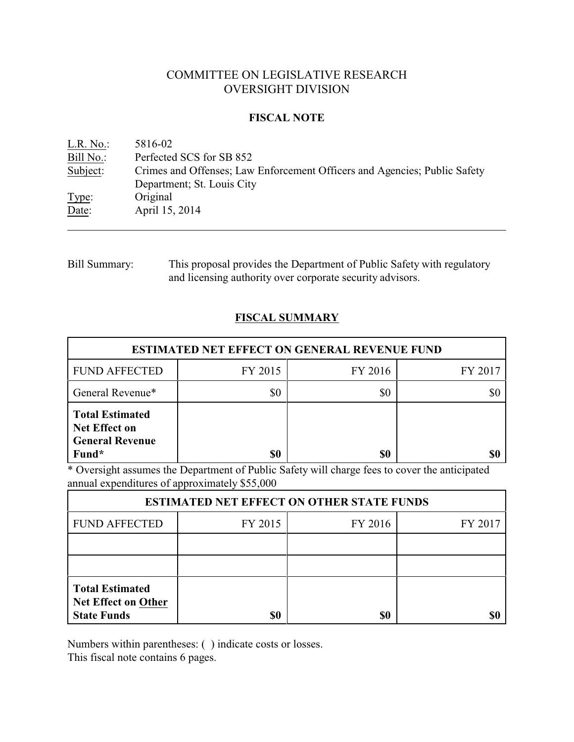# COMMITTEE ON LEGISLATIVE RESEARCH OVERSIGHT DIVISION

### **FISCAL NOTE**

| L.R. No.  | 5816-02                                                                   |
|-----------|---------------------------------------------------------------------------|
| Bill No.: | Perfected SCS for SB 852                                                  |
| Subject:  | Crimes and Offenses; Law Enforcement Officers and Agencies; Public Safety |
|           | Department; St. Louis City                                                |
| Type:     | Original                                                                  |
| Date:     | April 15, 2014                                                            |

# Bill Summary: This proposal provides the Department of Public Safety with regulatory and licensing authority over corporate security advisors.

# **FISCAL SUMMARY**

| <b>ESTIMATED NET EFFECT ON GENERAL REVENUE FUND</b>                               |         |         |         |  |  |
|-----------------------------------------------------------------------------------|---------|---------|---------|--|--|
| <b>FUND AFFECTED</b>                                                              | FY 2015 | FY 2016 | FY 2017 |  |  |
| General Revenue*                                                                  | \$0     | \$0     |         |  |  |
| <b>Total Estimated</b><br><b>Net Effect on</b><br><b>General Revenue</b><br>Fund* | \$0     | \$0     |         |  |  |

\* Oversight assumes the Department of Public Safety will charge fees to cover the anticipated annual expenditures of approximately \$55,000

| <b>ESTIMATED NET EFFECT ON OTHER STATE FUNDS</b>                           |         |         |         |  |  |
|----------------------------------------------------------------------------|---------|---------|---------|--|--|
| <b>FUND AFFECTED</b>                                                       | FY 2015 | FY 2016 | FY 2017 |  |  |
|                                                                            |         |         |         |  |  |
|                                                                            |         |         |         |  |  |
| <b>Total Estimated</b><br><b>Net Effect on Other</b><br><b>State Funds</b> | \$0     | \$0     |         |  |  |

Numbers within parentheses: ( ) indicate costs or losses.

This fiscal note contains 6 pages.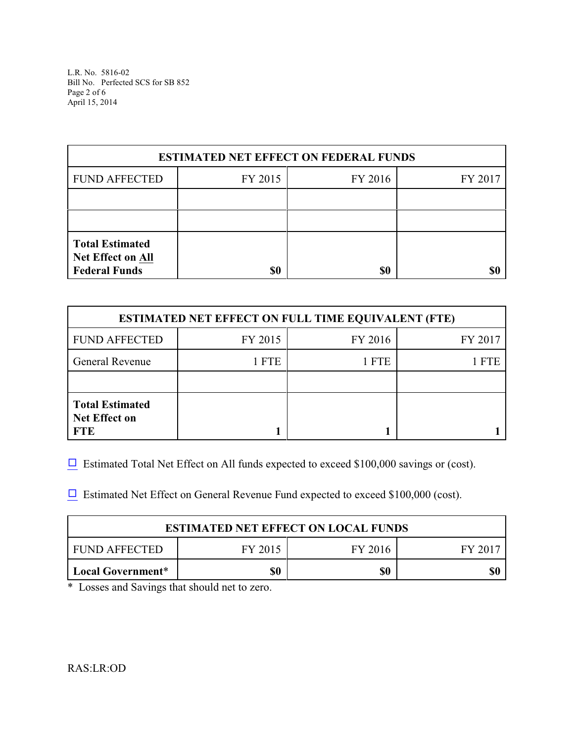L.R. No. 5816-02 Bill No. Perfected SCS for SB 852 Page 2 of 6 April 15, 2014

| <b>ESTIMATED NET EFFECT ON FEDERAL FUNDS</b>                               |         |         |         |  |  |
|----------------------------------------------------------------------------|---------|---------|---------|--|--|
| <b>FUND AFFECTED</b>                                                       | FY 2015 | FY 2016 | FY 2017 |  |  |
|                                                                            |         |         |         |  |  |
|                                                                            |         |         |         |  |  |
| <b>Total Estimated</b><br><b>Net Effect on All</b><br><b>Federal Funds</b> | \$0     | \$0     |         |  |  |

| <b>ESTIMATED NET EFFECT ON FULL TIME EQUIVALENT (FTE)</b>    |         |         |            |  |  |
|--------------------------------------------------------------|---------|---------|------------|--|--|
| <b>FUND AFFECTED</b>                                         | FY 2015 | FY 2016 | FY 2017    |  |  |
| <b>General Revenue</b>                                       | 1 FTE   | 1 FTE   | <b>FTE</b> |  |  |
|                                                              |         |         |            |  |  |
| <b>Total Estimated</b><br><b>Net Effect on</b><br><b>FTE</b> |         |         |            |  |  |

 $\Box$  Estimated Total Net Effect on All funds expected to exceed \$100,000 savings or (cost).

 $\Box$  Estimated Net Effect on General Revenue Fund expected to exceed \$100,000 (cost).

| <b>ESTIMATED NET EFFECT ON LOCAL FUNDS</b>     |  |  |  |  |  |
|------------------------------------------------|--|--|--|--|--|
| FUND AFFECTED<br>FY 2015<br>FY 2016<br>FY 2017 |  |  |  |  |  |
| \$0<br>\$0<br>Local Government*                |  |  |  |  |  |

\* Losses and Savings that should net to zero.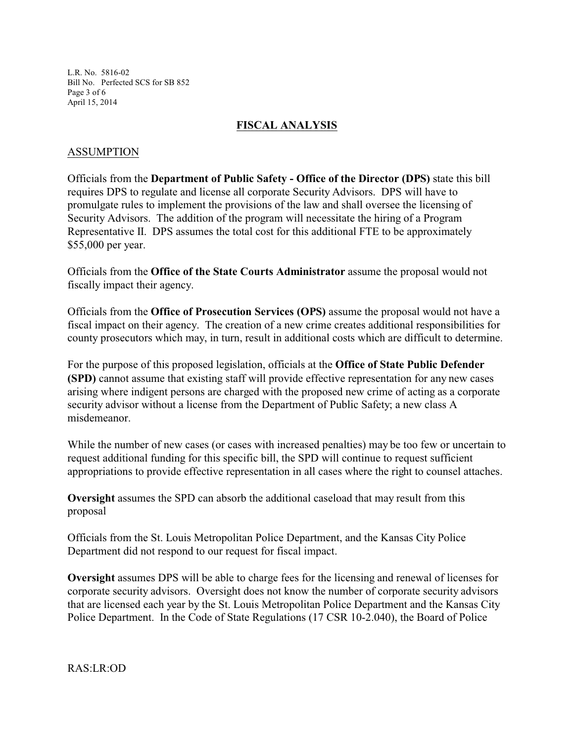L.R. No. 5816-02 Bill No. Perfected SCS for SB 852 Page 3 of 6 April 15, 2014

### **FISCAL ANALYSIS**

#### ASSUMPTION

Officials from the **Department of Public Safety - Office of the Director (DPS)** state this bill requires DPS to regulate and license all corporate Security Advisors. DPS will have to promulgate rules to implement the provisions of the law and shall oversee the licensing of Security Advisors. The addition of the program will necessitate the hiring of a Program Representative II. DPS assumes the total cost for this additional FTE to be approximately \$55,000 per year.

Officials from the **Office of the State Courts Administrator** assume the proposal would not fiscally impact their agency.

Officials from the **Office of Prosecution Services (OPS)** assume the proposal would not have a fiscal impact on their agency. The creation of a new crime creates additional responsibilities for county prosecutors which may, in turn, result in additional costs which are difficult to determine.

For the purpose of this proposed legislation, officials at the **Office of State Public Defender (SPD)** cannot assume that existing staff will provide effective representation for any new cases arising where indigent persons are charged with the proposed new crime of acting as a corporate security advisor without a license from the Department of Public Safety; a new class A misdemeanor.

While the number of new cases (or cases with increased penalties) may be too few or uncertain to request additional funding for this specific bill, the SPD will continue to request sufficient appropriations to provide effective representation in all cases where the right to counsel attaches.

**Oversight** assumes the SPD can absorb the additional caseload that may result from this proposal

Officials from the St. Louis Metropolitan Police Department, and the Kansas City Police Department did not respond to our request for fiscal impact.

**Oversight** assumes DPS will be able to charge fees for the licensing and renewal of licenses for corporate security advisors. Oversight does not know the number of corporate security advisors that are licensed each year by the St. Louis Metropolitan Police Department and the Kansas City Police Department. In the Code of State Regulations (17 CSR 10-2.040), the Board of Police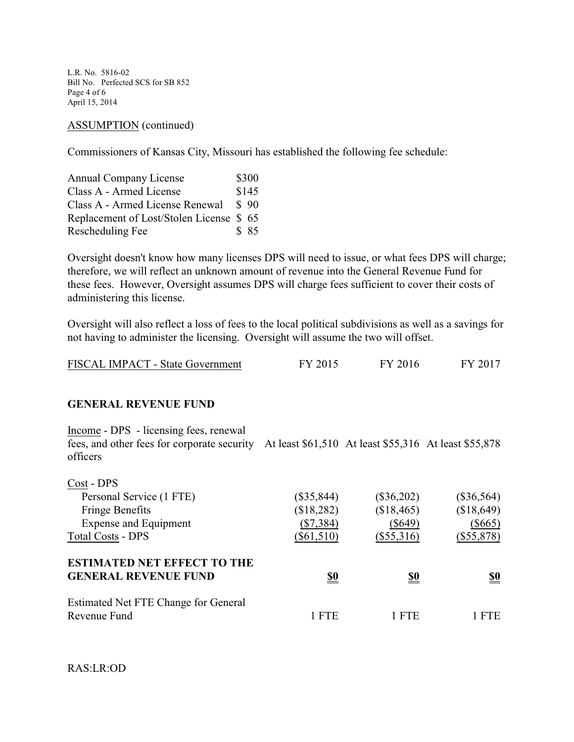L.R. No. 5816-02 Bill No. Perfected SCS for SB 852 Page 4 of 6 April 15, 2014

#### ASSUMPTION (continued)

Commissioners of Kansas City, Missouri has established the following fee schedule:

| Annual Company License                  | \$300 |
|-----------------------------------------|-------|
| Class A - Armed License                 | \$145 |
| Class A - Armed License Renewal         | \$90  |
| Replacement of Lost/Stolen License \$65 |       |
| Rescheduling Fee                        | \$ 85 |

Oversight doesn't know how many licenses DPS will need to issue, or what fees DPS will charge; therefore, we will reflect an unknown amount of revenue into the General Revenue Fund for these fees. However, Oversight assumes DPS will charge fees sufficient to cover their costs of administering this license.

Oversight will also reflect a loss of fees to the local political subdivisions as well as a savings for not having to administer the licensing. Oversight will assume the two will offset.

| FISCAL IMPACT - State Government | FY 2015 | FY 2016 | FY 2017 |
|----------------------------------|---------|---------|---------|
|----------------------------------|---------|---------|---------|

#### **GENERAL REVENUE FUND**

Income - DPS - licensing fees, renewal fees, and other fees for corporate security At least \$61,510 At least \$55,316 At least \$55,878 officers

| $(\$35,844)$ | $(\$36,202)$ | $(\$36,564)$ |
|--------------|--------------|--------------|
| (\$18,282)   | (\$18,465)   | (\$18,649)   |
| $(\$7,384)$  | $(\$649)$    | $(\$665)$    |
| $(\$61,510)$ | $(\$55,316)$ | $(\$55,878)$ |
|              |              |              |
| <u>\$0</u>   | <u>\$0</u>   | <u>\$0</u>   |
|              |              |              |
| <b>FTE</b>   | 1 FTE        | <b>FTE</b>   |
|              |              |              |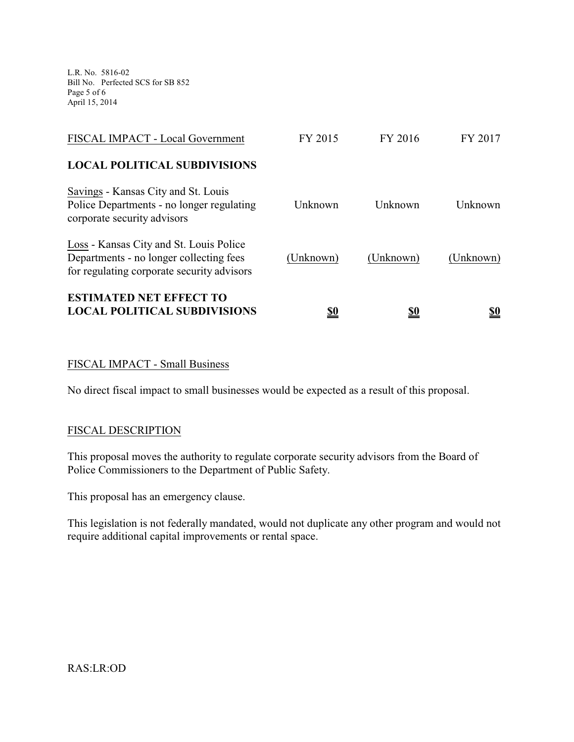L.R. No. 5816-02 Bill No. Perfected SCS for SB 852 Page 5 of 6 April 15, 2014

| <b>ESTIMATED NET EFFECT TO</b><br><b>LOCAL POLITICAL SUBDIVISIONS</b>                                                            | <u>\$0</u> | <u>\$0</u> | <u>\$0</u> |
|----------------------------------------------------------------------------------------------------------------------------------|------------|------------|------------|
| Loss - Kansas City and St. Louis Police<br>Departments - no longer collecting fees<br>for regulating corporate security advisors | (Unknown)  | (Unknown)  | (Unknown)  |
| Savings - Kansas City and St. Louis<br>Police Departments - no longer regulating<br>corporate security advisors                  | Unknown    | Unknown    | Unknown    |
| <b>LOCAL POLITICAL SUBDIVISIONS</b>                                                                                              |            |            |            |
| FISCAL IMPACT - Local Government                                                                                                 | FY 2015    | FY 2016    | FY 2017    |

## FISCAL IMPACT - Small Business

No direct fiscal impact to small businesses would be expected as a result of this proposal.

#### FISCAL DESCRIPTION

This proposal moves the authority to regulate corporate security advisors from the Board of Police Commissioners to the Department of Public Safety.

This proposal has an emergency clause.

This legislation is not federally mandated, would not duplicate any other program and would not require additional capital improvements or rental space.